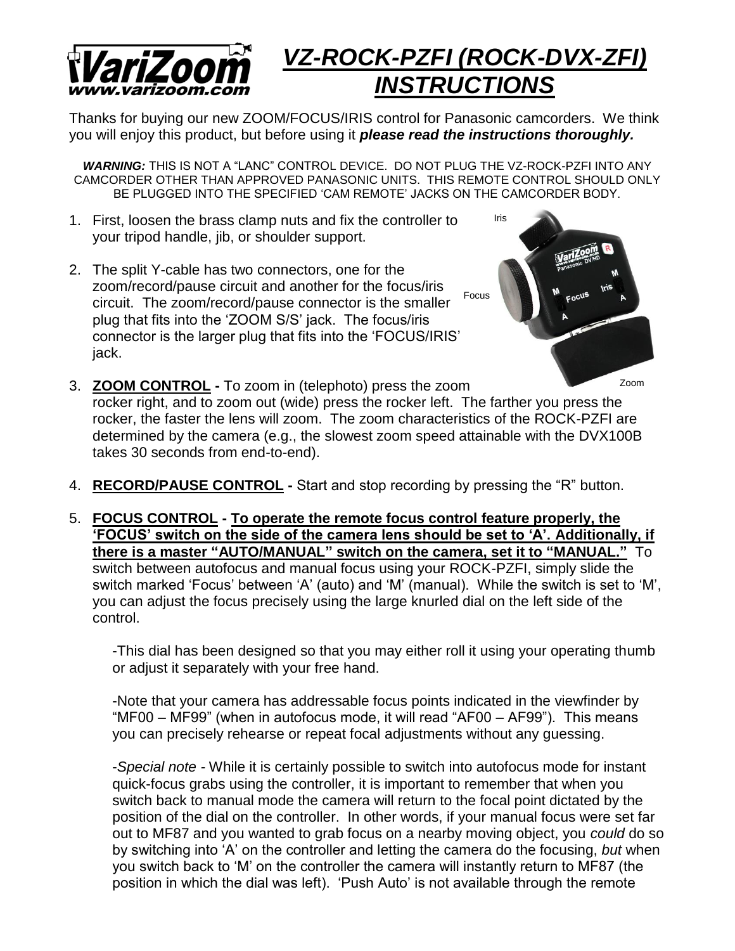

## *VZ-ROCK-PZFI (ROCK-DVX-ZFI) INSTRUCTIONS*

Thanks for buying our new ZOOM/FOCUS/IRIS control for Panasonic camcorders. We think you will enjoy this product, but before using it *please read the instructions thoroughly.*

*WARNING:* THIS IS NOT A "LANC" CONTROL DEVICE. DO NOT PLUG THE VZ-ROCK-PZFI INTO ANY CAMCORDER OTHER THAN APPROVED PANASONIC UNITS. THIS REMOTE CONTROL SHOULD ONLY BE PLUGGED INTO THE SPECIFIED 'CAM REMOTE' JACKS ON THE CAMCORDER BODY.

- 1. First, loosen the brass clamp nuts and fix the controller to your tripod handle, jib, or shoulder support.
- 2. The split Y-cable has two connectors, one for the zoom/record/pause circuit and another for the focus/iris circuit. The zoom/record/pause connector is the smaller plug that fits into the 'ZOOM S/S' jack. The focus/iris connector is the larger plug that fits into the 'FOCUS/IRIS' jack. Focus



- 3. **ZOOM CONTROL -** To zoom in (telephoto) press the zoom **EXAMPLE THE REGIST OF A TO A THE REGIST** PROCE THE LOCKER **right**, and to zoom out (wide) press the rocker left. The farther you press the rocker, the faster the lens will zoom. The zoom characteristics of the ROCK-PZFI are determined by the camera (e.g., the slowest zoom speed attainable with the DVX100B takes 30 seconds from end-to-end).
- 4. **RECORD/PAUSE CONTROL -** Start and stop recording by pressing the "R" button.
- 5. **FOCUS CONTROL - To operate the remote focus control feature properly, the 'FOCUS' switch on the side of the camera lens should be set to 'A'. Additionally, if there is a master "AUTO/MANUAL" switch on the camera, set it to "MANUAL."** To switch between autofocus and manual focus using your ROCK-PZFI, simply slide the switch marked 'Focus' between 'A' (auto) and 'M' (manual). While the switch is set to 'M', you can adjust the focus precisely using the large knurled dial on the left side of the control.

-This dial has been designed so that you may either roll it using your operating thumb or adjust it separately with your free hand.

-Note that your camera has addressable focus points indicated in the viewfinder by "MF00 – MF99" (when in autofocus mode, it will read "AF00 – AF99"). This means you can precisely rehearse or repeat focal adjustments without any guessing.

-*Special note -* While it is certainly possible to switch into autofocus mode for instant quick-focus grabs using the controller, it is important to remember that when you switch back to manual mode the camera will return to the focal point dictated by the position of the dial on the controller. In other words, if your manual focus were set far out to MF87 and you wanted to grab focus on a nearby moving object, you *could* do so by switching into 'A' on the controller and letting the camera do the focusing, *but* when you switch back to 'M' on the controller the camera will instantly return to MF87 (the position in which the dial was left). 'Push Auto' is not available through the remote